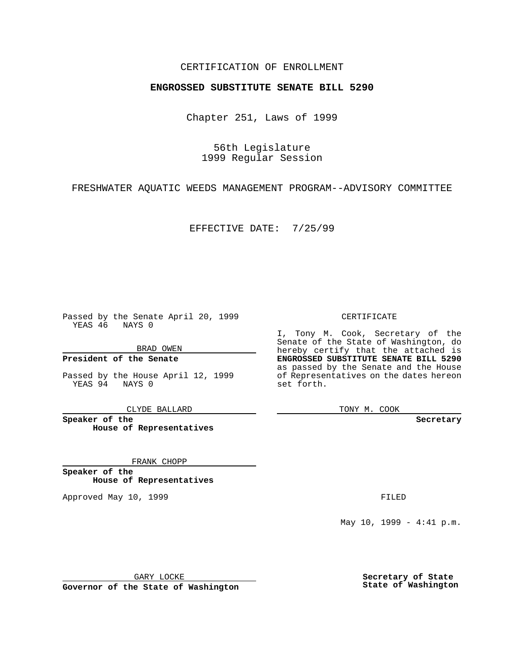## CERTIFICATION OF ENROLLMENT

# **ENGROSSED SUBSTITUTE SENATE BILL 5290**

Chapter 251, Laws of 1999

56th Legislature 1999 Regular Session

FRESHWATER AQUATIC WEEDS MANAGEMENT PROGRAM--ADVISORY COMMITTEE

EFFECTIVE DATE: 7/25/99

Passed by the Senate April 20, 1999 YEAS 46 NAYS 0

BRAD OWEN

**President of the Senate**

Passed by the House April 12, 1999 YEAS 94 NAYS 0

CLYDE BALLARD

**Speaker of the House of Representatives**

FRANK CHOPP

**Speaker of the House of Representatives**

Approved May 10, 1999 **FILED** 

CERTIFICATE

I, Tony M. Cook, Secretary of the Senate of the State of Washington, do hereby certify that the attached is **ENGROSSED SUBSTITUTE SENATE BILL 5290** as passed by the Senate and the House of Representatives on the dates hereon set forth.

TONY M. COOK

**Secretary**

May 10, 1999 - 4:41 p.m.

GARY LOCKE

**Governor of the State of Washington**

**Secretary of State State of Washington**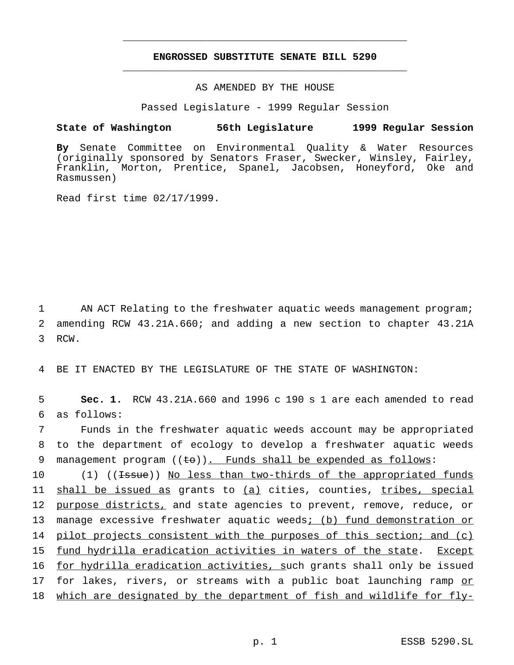## **ENGROSSED SUBSTITUTE SENATE BILL 5290** \_\_\_\_\_\_\_\_\_\_\_\_\_\_\_\_\_\_\_\_\_\_\_\_\_\_\_\_\_\_\_\_\_\_\_\_\_\_\_\_\_\_\_\_\_\_\_

\_\_\_\_\_\_\_\_\_\_\_\_\_\_\_\_\_\_\_\_\_\_\_\_\_\_\_\_\_\_\_\_\_\_\_\_\_\_\_\_\_\_\_\_\_\_\_

### AS AMENDED BY THE HOUSE

Passed Legislature - 1999 Regular Session

#### **State of Washington 56th Legislature 1999 Regular Session**

**By** Senate Committee on Environmental Quality & Water Resources (originally sponsored by Senators Fraser, Swecker, Winsley, Fairley, Franklin, Morton, Prentice, Spanel, Jacobsen, Honeyford, Oke and Rasmussen)

Read first time 02/17/1999.

1 AN ACT Relating to the freshwater aquatic weeds management program; 2 amending RCW 43.21A.660; and adding a new section to chapter 43.21A 3 RCW.

4 BE IT ENACTED BY THE LEGISLATURE OF THE STATE OF WASHINGTON:

5 **Sec. 1.** RCW 43.21A.660 and 1996 c 190 s 1 are each amended to read 6 as follows:

7 Funds in the freshwater aquatic weeds account may be appropriated 8 to the department of ecology to develop a freshwater aquatic weeds 9 management program  $((\pm \sigma))$ . Funds shall be expended as follows:

10 (1) ((<del>Issue</del>)) No less than two-thirds of the appropriated funds 11 shall be issued as grants to (a) cities, counties, tribes, special 12 purpose districts, and state agencies to prevent, remove, reduce, or 13 manage excessive freshwater aquatic weeds; (b) fund demonstration or 14 pilot projects consistent with the purposes of this section; and (c) 15 fund hydrilla eradication activities in waters of the state. Except 16 for hydrilla eradication activities, such grants shall only be issued 17 for lakes, rivers, or streams with a public boat launching ramp or 18 which are designated by the department of fish and wildlife for fly-